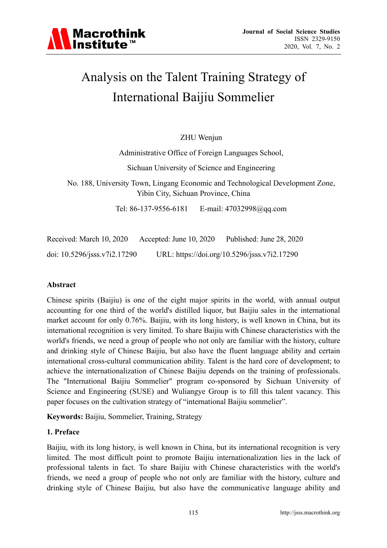

# Analysis on the Talent Training Strategy of International Baijiu Sommelier

ZHU Wenjun

Administrative Office of Foreign Languages School,

Sichuan University of Science and Engineering

No. 188, University Town, Lingang Economic and Technological Development Zone, Yibin City, Sichuan Province, China

Tel: 86-137-9556-6181 E-mail: 47032998@qq.com

Received: March 10, 2020 Accepted: June 10, 2020 Published: June 28, 2020 doi: 10.5296/jsss.v7i2.17290 URL: https://doi.org/10.5296/jsss.v7i2.17290

# **Abstract**

Chinese spirits (Baijiu) is one of the eight major spirits in the world, with annual output accounting for one third of the world's distilled liquor, but Baijiu sales in the international market account for only 0.76%. Baijiu, with its long history, is well known in China, but its international recognition is very limited. To share Baijiu with Chinese characteristics with the world's friends, we need a group of people who not only are familiar with the history, culture and drinking style of Chinese Baijiu, but also have the fluent language ability and certain international cross-cultural communication ability. Talent is the hard core of development; to achieve the internationalization of Chinese Baijiu depends on the training of professionals. The "International Baijiu Sommelier" program co-sponsored by Sichuan University of Science and Engineering (SUSE) and Wuliangye Group is to fill this talent vacancy. This paper focuses on the cultivation strategy of "international Baijiu sommelier".

**Keywords:** Baijiu, Sommelier, Training, Strategy

#### **1. Preface**

Baijiu, with its long history, is well known in China, but its international recognition is very limited. The most difficult point to promote Baijiu internationalization lies in the lack of professional talents in fact. To share Baijiu with Chinese characteristics with the world's friends, we need a group of people who not only are familiar with the history, culture and drinking style of Chinese Baijiu, but also have the communicative language ability and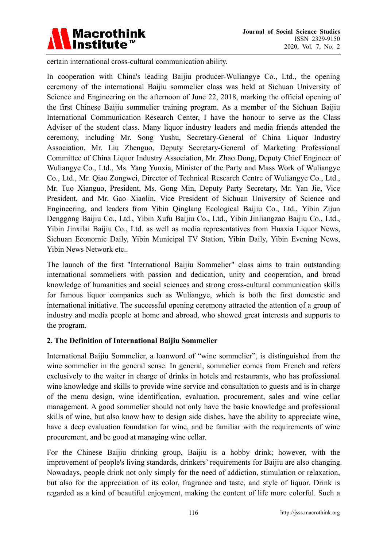

certain international cross-cultural communication ability.

In cooperation with China's leading Baijiu producer-Wuliangye Co., Ltd., the opening ceremony of the international Baijiu sommelier class was held at Sichuan University of Science and Engineering on the afternoon of June 22, 2018, marking the official opening of the first Chinese Baijiu sommelier training program. As a member of the Sichuan Baijiu International Communication Research Center, I have the honour to serve as the Class Adviser of the student class. Many liquor industry leaders and media friends attended the ceremony, including Mr. Song Yushu, Secretary-General of China Liquor Industry Association, Mr. Liu Zhenguo, Deputy Secretary-General of Marketing Professional Committee of China Liquor Industry Association, Mr. Zhao Dong, Deputy Chief Engineer of Wuliangye Co., Ltd., Ms. Yang Yunxia, Minister of the Party and Mass Work of Wuliangye Co., Ltd., Mr. Qiao Zongwei, Director of Technical Research Centre of Wuliangye Co., Ltd., Mr. Tuo Xianguo, President, Ms. Gong Min, Deputy Party Secretary, Mr. Yan Jie, Vice President, and Mr. Gao Xiaolin, Vice President of Sichuan University of Science and Engineering, and leaders from Yibin Qinglang Ecological Baijiu Co., Ltd., Yibin Zijun Denggong Baijiu Co., Ltd., Yibin Xufu Baijiu Co., Ltd., Yibin Jinliangzao Baijiu Co., Ltd., Yibin Jinxilai Baijiu Co., Ltd. as well as media representatives from Huaxia Liquor News, Sichuan Economic Daily, Yibin Municipal TV Station, Yibin Daily, Yibin Evening News, Yibin News Network etc..

The launch of the first "International Baijiu Sommelier" class aims to train outstanding international sommeliers with passion and dedication, unity and cooperation, and broad knowledge of humanities and social sciences and strong cross-cultural communication skills for famous liquor companies such as Wuliangye, which is both the first domestic and international initiative. The successful opening ceremony attracted the attention of a group of industry and media people at home and abroad, who showed great interests and supports to the program.

# **2. The Definition of International Baijiu Sommelier**

International Baijiu Sommelier, a loanword of "wine sommelier", is distinguished from the wine sommelier in the general sense. In general, sommelier comes from French and refers exclusively to the waiter in charge of drinks in hotels and restaurants, who has professional wine knowledge and skills to provide wine service and consultation to guests and is in charge of the menu design, wine identification, evaluation, procurement, sales and wine cellar management. A good sommelier should not only have the basic knowledge and professional skills of wine, but also know how to design side dishes, have the ability to appreciate wine, have a deep evaluation foundation for wine, and be familiar with the requirements of wine procurement, and be good at managing wine cellar.

For the Chinese Baijiu drinking group, Baijiu is a hobby drink; however, with the improvement of people's living standards, drinkers' requirements for Baijiu are also changing. Nowadays, people drink not only simply for the need of addiction, stimulation or relaxation, but also for the appreciation of its color, fragrance and taste, and style of liquor. Drink is regarded as a kind of beautiful enjoyment, making the content of life more colorful. Such a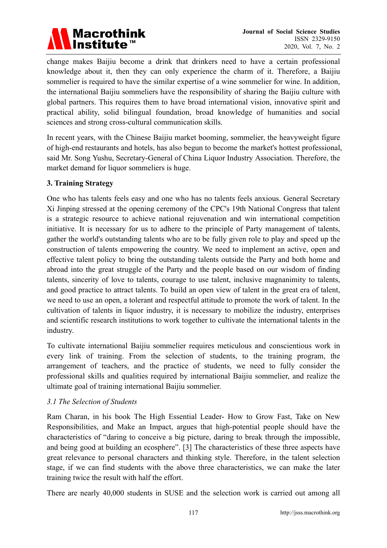

change makes Baijiu become a drink that drinkers need to have a certain professional knowledge about it, then they can only experience the charm of it. Therefore, a Baijiu sommelier is required to have the similar expertise of a wine sommelier for wine. In addition, the international Baijiu sommeliers have the responsibility of sharing the Baijiu culture with global partners. This requires them to have broad international vision, innovative spirit and practical ability, solid bilingual foundation, broad knowledge of humanities and social sciences and strong cross-cultural communication skills.

In recent years, with the Chinese Baijiu market booming, sommelier, the heavyweight figure of high-end restaurants and hotels, has also begun to become the market's hottest professional, said Mr. Song Yushu, Secretary-General of China Liquor Industry Association. Therefore, the market demand for liquor sommeliers is huge.

# **3. Training Strategy**

One who has talents feels easy and one who has no talents feels anxious. General Secretary Xi Jinping stressed at the opening ceremony of the CPC's 19th National Congress that talent is a strategic resource to achieve national rejuvenation and win international competition initiative. It is necessary for us to adhere to the principle of Party management of talents, gather the world's outstanding talents who are to be fully given role to play and speed up the construction of talents empowering the country. We need to implement an active, open and effective talent policy to bring the outstanding talents outside the Party and both home and abroad into the great struggle of the Party and the people based on our wisdom of finding talents, sincerity of love to talents, courage to use talent, inclusive magnanimity to talents, and good practice to attract talents. To build an open view of talent in the great era of talent, we need to use an open, a tolerant and respectful attitude to promote the work of talent. In the cultivation of talents in liquor industry, it is necessary to mobilize the industry, enterprises and scientific research institutions to work together to cultivate the international talents in the industry.

To cultivate international Baijiu sommelier requires meticulous and conscientious work in every link of training. From the selection of students, to the training program, the arrangement of teachers, and the practice of students, we need to fully consider the professional skills and qualities required by international Baijiu sommelier, and realize the ultimate goal of training international Baijiu sommelier.

#### *3.1 The Selection of Students*

Ram Charan, in his book The High Essential Leader- How to Grow Fast, Take on New Responsibilities, and Make an Impact, argues that high-potential people should have the characteristics of "daring to conceive a big picture, daring to break through the impossible, and being good at building an ecosphere". [3] The characteristics of these three aspects have great relevance to personal characters and thinking style. Therefore, in the talent selection stage, if we can find students with the above three characteristics, we can make the later training twice the result with half the effort.

There are nearly 40,000 students in SUSE and the selection work is carried out among all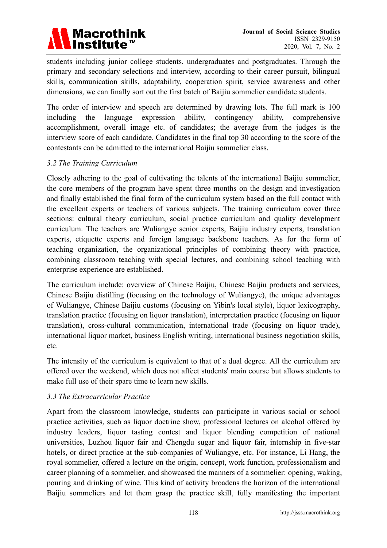

students including junior college students, undergraduates and postgraduates. Through the primary and secondary selections and interview, according to their career pursuit, bilingual skills, communication skills, adaptability, cooperation spirit, service awareness and other dimensions, we can finally sort out the first batch of Baijiu sommelier candidate students.

The order of interview and speech are determined by drawing lots. The full mark is 100 including the language expression ability, contingency ability, comprehensive accomplishment, overall image etc. of candidates; the average from the judges is the interview score of each candidate. Candidates in the final top 30 according to the score of the contestants can be admitted to the international Baijiu sommelier class.

## *3.2 The Training Curriculum*

Closely adhering to the goal of cultivating the talents of the international Baijiu sommelier, the core members of the program have spent three months on the design and investigation and finally established the final form of the curriculum system based on the full contact with the excellent experts or teachers of various subjects. The training curriculum cover three sections: cultural theory curriculum, social practice curriculum and quality development curriculum. The teachers are Wuliangye senior experts, Baijiu industry experts, translation experts, etiquette experts and foreign language backbone teachers. As for the form of teaching organization, the organizational principles of combining theory with practice, combining classroom teaching with special lectures, and combining school teaching with enterprise experience are established.

The curriculum include: overview of Chinese Baijiu, Chinese Baijiu products and services, Chinese Baijiu distilling (focusing on the technology of Wuliangye), the unique advantages of Wuliangye, Chinese Baijiu customs (focusing on Yibin's local style), liquor lexicography, translation practice (focusing on liquor translation), interpretation practice (focusing on liquor translation), cross-cultural communication, international trade (focusing on liquor trade), international liquor market, business English writing, international business negotiation skills, etc.

The intensity of the curriculum is equivalent to that of a dual degree. All the curriculum are offered over the weekend, which does not affect students' main course but allows students to make full use of their spare time to learn new skills.

#### *3.3 The Extracurricular Practice*

Apart from the classroom knowledge, students can participate in various social or school practice activities, such as liquor doctrine show, professional lectures on alcohol offered by industry leaders, liquor tasting contest and liquor blending competition of national universities, Luzhou liquor fair and Chengdu sugar and liquor fair, internship in five-star hotels, or direct practice at the sub-companies of Wuliangye, etc. For instance, Li Hang, the royal sommelier, offered a lecture on the origin, concept, work function, professionalism and career planning of a sommelier, and showcased the manners of a sommelier: opening, waking, pouring and drinking of wine. This kind of activity broadens the horizon of the international Baijiu sommeliers and let them grasp the practice skill, fully manifesting the important